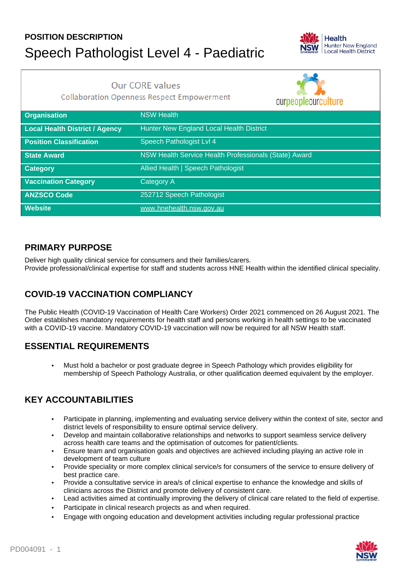# **POSITION DESCRIPTION** Speech Pathologist Level 4 - Paediatric



**Our CORE values** 

**Collaboration Openness Respect Empowerment** 

ournoonloourouturg

|                                | <u>UUI DEUDICUUI UUITUI G</u>                         |
|--------------------------------|-------------------------------------------------------|
| <b>Organisation</b>            | <b>NSW Health</b>                                     |
| Local Health District / Agency | Hunter New England Local Health District              |
| <b>Position Classification</b> | Speech Pathologist Lvl 4                              |
| <b>State Award</b>             | NSW Health Service Health Professionals (State) Award |
| <b>Category</b>                | Allied Health   Speech Pathologist                    |
| <b>Vaccination Category</b>    | <b>Category A</b>                                     |
| <b>ANZSCO Code</b>             | 252712 Speech Pathologist                             |
| <b>Website</b>                 | www.hnehealth.nsw.gov.au                              |

### **PRIMARY PURPOSE**

Deliver high quality clinical service for consumers and their families/carers. Provide professional/clinical expertise for staff and students across HNE Health within the identified clinical speciality.

## **COVID-19 VACCINATION COMPLIANCY**

The Public Health (COVID-19 Vaccination of Health Care Workers) Order 2021 commenced on 26 August 2021. The Order establishes mandatory requirements for health staff and persons working in health settings to be vaccinated with a COVID-19 vaccine. Mandatory COVID-19 vaccination will now be required for all NSW Health staff.

## **ESSENTIAL REQUIREMENTS**

• Must hold a bachelor or post graduate degree in Speech Pathology which provides eligibility for membership of Speech Pathology Australia, or other qualification deemed equivalent by the employer.

## **KEY ACCOUNTABILITIES**

- Participate in planning, implementing and evaluating service delivery within the context of site, sector and district levels of responsibility to ensure optimal service delivery.
- Develop and maintain collaborative relationships and networks to support seamless service delivery across health care teams and the optimisation of outcomes for patient/clients.
- Ensure team and organisation goals and objectives are achieved including playing an active role in development of team culture
- Provide speciality or more complex clinical service/s for consumers of the service to ensure delivery of best practice care.
- Provide a consultative service in area/s of clinical expertise to enhance the knowledge and skills of clinicians across the District and promote delivery of consistent care.
- Lead activities aimed at continually improving the delivery of clinical care related to the field of expertise.
- Participate in clinical research projects as and when required.
- Engage with ongoing education and development activities including regular professional practice

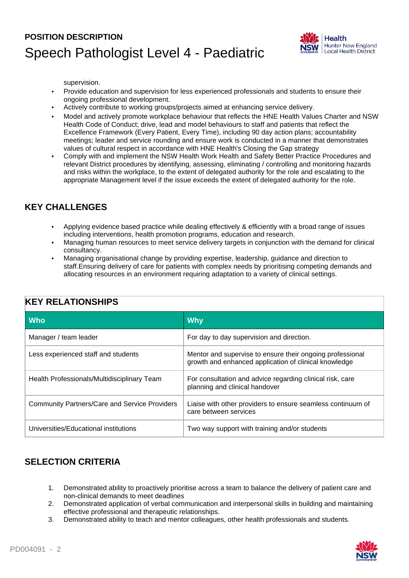## **POSITION DESCRIPTION** Speech Pathologist Level 4 - Paediatric



supervision.

- Provide education and supervision for less experienced professionals and students to ensure their ongoing professional development.
- Actively contribute to working groups/projects aimed at enhancing service delivery.
- Model and actively promote workplace behaviour that reflects the HNE Health Values Charter and NSW Health Code of Conduct; drive, lead and model behaviours to staff and patients that reflect the Excellence Framework (Every Patient, Every Time), including 90 day action plans; accountability meetings; leader and service rounding and ensure work is conducted in a manner that demonstrates values of cultural respect in accordance with HNE Health's Closing the Gap strategy
- Comply with and implement the NSW Health Work Health and Safety Better Practice Procedures and relevant District procedures by identifying, assessing, eliminating / controlling and monitoring hazards and risks within the workplace, to the extent of delegated authority for the role and escalating to the appropriate Management level if the issue exceeds the extent of delegated authority for the role.

#### **KEY CHALLENGES**

- Applying evidence based practice while dealing effectively & efficiently with a broad range of issues including interventions, health promotion programs, education and research.
- Managing human resources to meet service delivery targets in conjunction with the demand for clinical consultancy.
- Managing organisational change by providing expertise, leadership, guidance and direction to staff.Ensuring delivery of care for patients with complex needs by prioritising competing demands and allocating resources in an environment requiring adaptation to a variety of clinical settings.

| <b>Who</b>                                           | <b>Why</b>                                                                                                         |  |
|------------------------------------------------------|--------------------------------------------------------------------------------------------------------------------|--|
| Manager / team leader                                | For day to day supervision and direction.                                                                          |  |
| Less experienced staff and students                  | Mentor and supervise to ensure their ongoing professional<br>growth and enhanced application of clinical knowledge |  |
| Health Professionals/Multidisciplinary Team          | For consultation and advice regarding clinical risk, care<br>planning and clinical handover                        |  |
| <b>Community Partners/Care and Service Providers</b> | Liaise with other providers to ensure seamless continuum of<br>care between services                               |  |
| Universities/Educational institutions                | Two way support with training and/or students                                                                      |  |

### **KEY RELATIONSHIPS**

### **SELECTION CRITERIA**

- 1. Demonstrated ability to proactively prioritise across a team to balance the delivery of patient care and non-clinical demands to meet deadlines
- 2. Demonstrated application of verbal communication and interpersonal skills in building and maintaining effective professional and therapeutic relationships.
- 3. Demonstrated ability to teach and mentor colleagues, other health professionals and students.